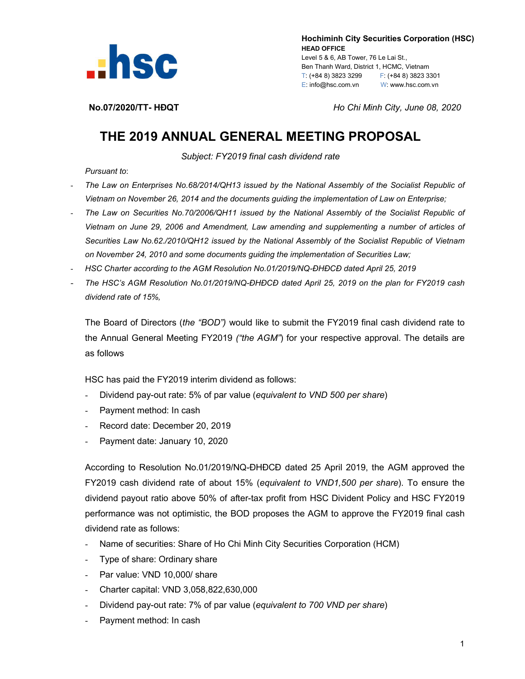

 **Hochiminh City Securities Corporation (HSC) HEAD OFFICE** Level 5 & 6, AB Tower, 76 Le Lai St., Ben Thanh Ward, District 1, HCMC, Vietnam T: (+84 8) 3823 3299 F: (+84 8) 3823 3301 E: info@hsc.com.vn W: www.hsc.com.vn

**No.07/2020/TT- HĐQT** *Ho Chi Minh City, June 08, 2020*

## **THE 2019 ANNUAL GENERAL MEETING PROPOSAL**

*Subject: FY2019 final cash dividend rate*

*Pursuant to*:

- *The Law on Enterprises No.68/2014/QH13 issued by the National Assembly of the Socialist Republic of Vietnam on November 26, 2014 and the documents guiding the implementation of Law on Enterprise;*
- *The Law on Securities No.70/2006/QH11 issued by the National Assembly of the Socialist Republic of Vietnam on June 29, 2006 and Amendment, Law amending and supplementing a number of articles of Securities Law No.62./2010/QH12 issued by the National Assembly of the Socialist Republic of Vietnam on November 24, 2010 and some documents guiding the implementation of Securities Law;*
- *HSC Charter according to the AGM Resolution No.01/2019/NQ-ĐHĐCĐ dated April 25, 2019*
- *The HSC's AGM Resolution No.01/2019/NQ-ĐHĐCĐ dated April 25, 2019 on the plan for FY2019 cash dividend rate of 15%,*

The Board of Directors (*the "BOD")* would like to submit the FY2019 final cash dividend rate to the Annual General Meeting FY2019 *("the AGM"*) for your respective approval. The details are as follows

HSC has paid the FY2019 interim dividend as follows:

- Dividend pay-out rate: 5% of par value (*equivalent to VND 500 per share*)
- Payment method: In cash
- Record date: December 20, 2019
- Payment date: January 10, 2020

According to Resolution No.01/2019/NQ-ĐHĐCĐ dated 25 April 2019, the AGM approved the FY2019 cash dividend rate of about 15% (*equivalent to VND1,500 per share*). To ensure the dividend payout ratio above 50% of after-tax profit from HSC Divident Policy and HSC FY2019 performance was not optimistic, the BOD proposes the AGM to approve the FY2019 final cash dividend rate as follows:

- Name of securities: Share of Ho Chi Minh City Securities Corporation (HCM)
- Type of share: Ordinary share
- Par value: VND 10,000/ share
- Charter capital: VND 3,058,822,630,000
- Dividend pay-out rate: 7% of par value (*equivalent to 700 VND per share*)
- Payment method: In cash